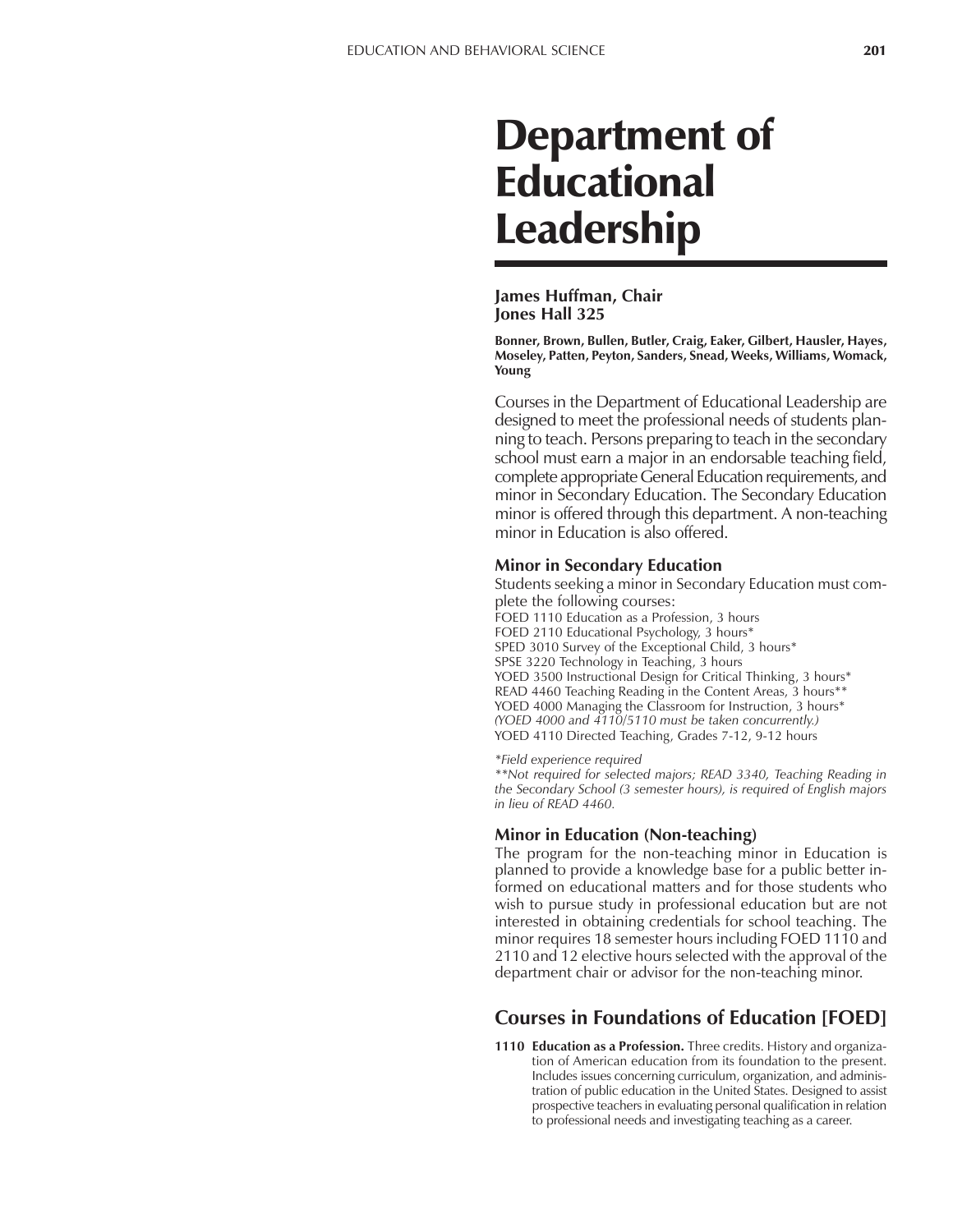# Department of Educational Leadership

#### **James Huffman, Chair Jones Hall 325**

**Bonner, Brown, Bullen, Butler, Craig, Eaker, Gilbert, Hausler, Hayes, Moseley, Patten, Peyton, Sanders, Snead, Weeks, Williams, Womack, Young**

Courses in the Department of Educational Leadership are designed to meet the professional needs of students planning to teach. Persons preparing to teach in the secondary school must earn a major in an endorsable teaching field, complete appropriate General Education requirements, and minor in Secondary Education. The Secondary Education minor is offered through this department. A non-teaching minor in Education is also offered.

#### **Minor in Secondary Education**

Students seeking a minor in Secondary Education must complete the following courses: FOED 1110 Education as a Profession, 3 hours FOED 2110 Educational Psychology, 3 hours\* SPED 3010 Survey of the Exceptional Child, 3 hours\* SPSE 3220 Technology in Teaching, 3 hours YOED 3500 Instructional Design for Critical Thinking, 3 hours\* READ 4460 Teaching Reading in the Content Areas, 3 hours\*\* YOED 4000 Managing the Classroom for Instruction, 3 hours\* *(YOED 4000 and 4110/5110 must be taken concurrently.)* YOED 4110 Directed Teaching, Grades 7-12, 9-12 hours

#### *\*Field experience required*

*\*\*Not required for selected majors; READ 3340, Teaching Reading in the Secondary School (3 semester hours), is required of English majors in lieu of READ 4460.*

### **Minor in Education (Non-teaching)**

The program for the non-teaching minor in Education is planned to provide a knowledge base for a public better informed on educational matters and for those students who wish to pursue study in professional education but are not interested in obtaining credentials for school teaching. The minor requires 18 semester hours including FOED 1110 and 2110 and 12 elective hours selected with the approval of the department chair or advisor for the non-teaching minor.

## **Courses in Foundations of Education [FOED]**

**1110 Education as a Profession.** Three credits. History and organization of American education from its foundation to the present. Includes issues concerning curriculum, organization, and administration of public education in the United States. Designed to assist prospective teachers in evaluating personal qualification in relation to professional needs and investigating teaching as a career.